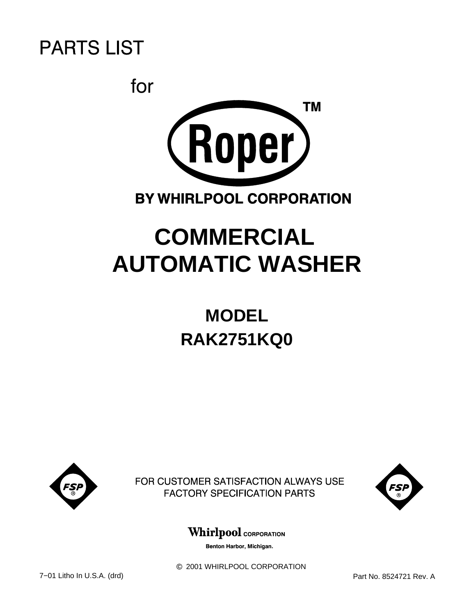



# **COMMERCIAL AUTOMATIC WASHER**

# **RAK2751KQ0 MODEL**



FOR CUSTOMER SATISFACTION ALWAYS USE **FACTORY SPECIFICATION PARTS** 



**Whirlpool** CORPORATION

Benton Harbor, Michigan.

c 2001 WHIRLPOOL CORPORATION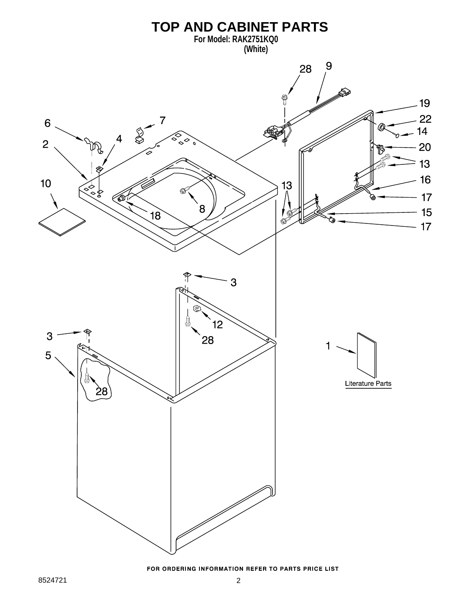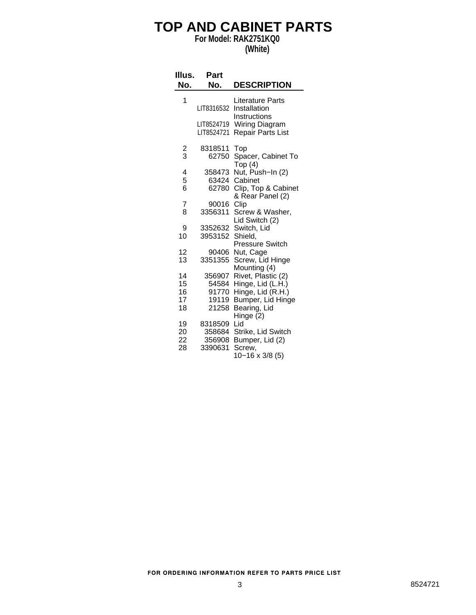### **TOP AND CABINET PARTS**

**For Model: RAK2751KQ0**

#### **(White)**

| Illus.         | Part                        |                                                           |
|----------------|-----------------------------|-----------------------------------------------------------|
| No.            | No.                         | <b>DESCRIPTION</b>                                        |
| 1              | LIT8316532                  | Literature Parts<br>Installation<br>Instructions          |
|                | LIT8524719<br>LIT8524721    | Wiring Diagram<br><b>Repair Parts List</b>                |
| $\frac{2}{3}$  | 8318511<br>62750            | Top<br>Spacer, Cabinet To<br>Top(4)                       |
| 4<br>5<br>6    | 358473<br>63424<br>62780    | Nut, Push-In (2)<br>Cabinet<br>Clip, Top & Cabinet        |
| 7              | 90016                       | & Rear Panel (2)<br>Clip                                  |
| 8              | 3356311                     | Screw & Washer,<br>Lid Switch (2)                         |
| 9<br>10        | 3352632<br>3953152          | Switch, Lid<br>Shield.                                    |
| 12<br>13       | 90406<br>3351355            | <b>Pressure Switch</b><br>Nut, Cage<br>Screw, Lid Hinge   |
| 14<br>15       | 356907<br>54584             | Mounting (4)<br>Rivet, Plastic (2)<br>Hinge, Lid (L.H.)   |
| 16<br>17<br>18 | 91770<br>19119<br>21258     | Hinge, Lid (R.H.)<br>Bumper, Lid Hinge<br>Bearing, Lid    |
| 19<br>20<br>22 | 8318509<br>358684<br>356908 | Hinge (2)<br>Lid<br>Strike, Lid Switch<br>Bumper, Lid (2) |
| 28             | 3390631                     | Screw,<br>10-16 x 3/8 (5)                                 |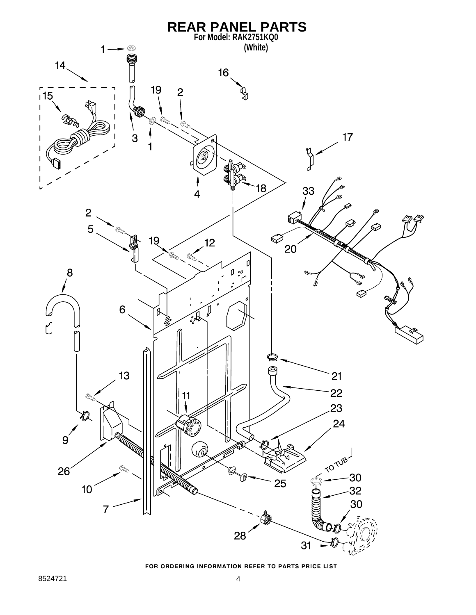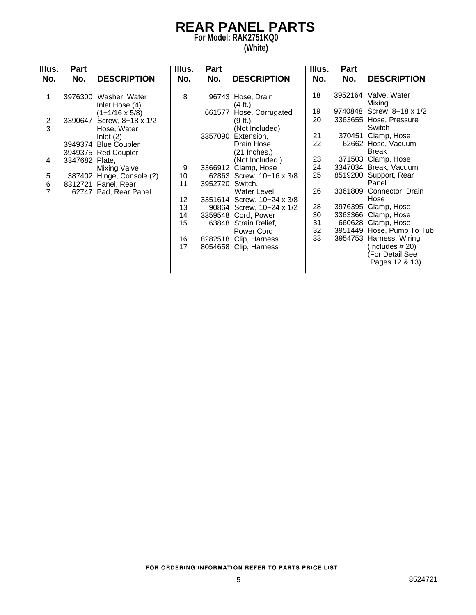#### **REAR PANEL PARTS For Model: RAK2751KQ0**

#### **(White)**

| Illus.<br>No.                                       | <b>Part</b><br>No.        | <b>DESCRIPTION</b>                                                                                                                                                                                                                                                | Illus.<br>No.                                          | Part<br>No.                                     | <b>DESCRIPTION</b>                                                                                                                                                                                                                                                                                                                                                                     | Illus.<br>No.                                                                    | <b>Part</b><br>No. | <b>DESCRIPTION</b>                                                                                                                                                                                                                                                                                                                                                                                                                    |
|-----------------------------------------------------|---------------------------|-------------------------------------------------------------------------------------------------------------------------------------------------------------------------------------------------------------------------------------------------------------------|--------------------------------------------------------|-------------------------------------------------|----------------------------------------------------------------------------------------------------------------------------------------------------------------------------------------------------------------------------------------------------------------------------------------------------------------------------------------------------------------------------------------|----------------------------------------------------------------------------------|--------------------|---------------------------------------------------------------------------------------------------------------------------------------------------------------------------------------------------------------------------------------------------------------------------------------------------------------------------------------------------------------------------------------------------------------------------------------|
| 1<br>$\frac{2}{3}$<br>4<br>5<br>6<br>$\overline{7}$ | 3390647<br>3347682 Plate, | 3976300 Washer, Water<br>Inlet Hose (4)<br>$(1 - 1/16 \times 5/8)$<br>Screw, 8-18 x 1/2<br>Hose, Water<br>Inlet $(2)$<br>3949374 Blue Coupler<br>3949375 Red Coupler<br>Mixing Valve<br>387402 Hinge, Console (2)<br>8312721 Panel, Rear<br>62747 Pad, Rear Panel | 8<br>9<br>10<br>11<br>12<br>13<br>14<br>15<br>16<br>17 | 661577<br>3357090<br>3366912<br>3952720 Switch, | 96743 Hose, Drain<br>(4 ft.)<br>Hose, Corrugated<br>(9 ft.)<br>(Not Included)<br>Extension,<br>Drain Hose<br>(21 Inches.)<br>(Not Included.)<br>Clamp, Hose<br>62863 Screw, 10-16 x 3/8<br><b>Water Level</b><br>3351614 Screw, 10-24 x 3/8<br>90864 Screw, 10-24 x 1/2<br>3359548 Cord, Power<br>63848 Strain Relief,<br>Power Cord<br>8282518 Clip, Harness<br>8054658 Clip, Harness | 18<br>19<br>20<br>21<br>22<br>23<br>24<br>25<br>26<br>28<br>30<br>31<br>32<br>33 | 370451<br>3361809  | 3952164 Valve, Water<br>Mixing<br>9740848 Screw, 8-18 x 1/2<br>3363655 Hose, Pressure<br>Switch<br>Clamp, Hose<br>62662 Hose, Vacuum<br><b>Break</b><br>371503 Clamp, Hose<br>3347034 Break, Vacuum<br>8519200 Support, Rear<br>Panel<br>Connector, Drain<br>Hose<br>3976395 Clamp, Hose<br>3363366 Clamp, Hose<br>660628 Clamp, Hose<br>3951449 Hose, Pump To Tub<br>3954753 Harness, Wiring<br>(Includes $#20$ )<br>(For Detail See |
|                                                     |                           |                                                                                                                                                                                                                                                                   |                                                        |                                                 |                                                                                                                                                                                                                                                                                                                                                                                        |                                                                                  |                    | Pages 12 & 13)                                                                                                                                                                                                                                                                                                                                                                                                                        |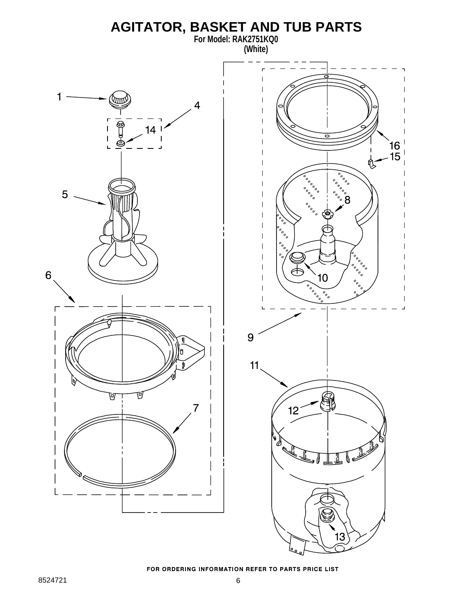#### **AGITATOR, BASKET AND TUB PARTS For Model: RAK2751KQ0**



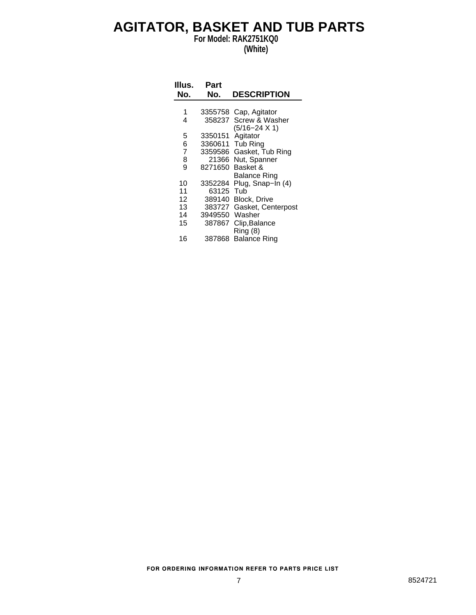#### **AGITATOR, BASKET AND TUB PARTS**

**For Model: RAK2751KQ0 (White)**

| Illus.<br>No.  | Part<br>No. | <b>DESCRIPTION</b>     |
|----------------|-------------|------------------------|
|                |             |                        |
| 1              |             | 3355758 Cap, Agitator  |
| 4              | 358237      | Screw & Washer         |
|                |             | $(5/16 - 24 \times 1)$ |
| 5              | 3350151     | Agitator               |
| 6              | 3360611     | <b>Tub Ring</b>        |
| $\overline{7}$ | 3359586     | Gasket, Tub Ring       |
| 8              | 21366       | Nut, Spanner           |
| 9              | 8271650     | Basket &               |
|                |             | Balance Ring           |
| 10             | 3352284     | Plug, Snap-In (4)      |
|                |             |                        |
| 11             | 63125       | Tub                    |
| 12             | 389140      | <b>Block, Drive</b>    |
| 13             | 383727      | Gasket, Centerpost     |
| 14             | 3949550     | Washer                 |
| 15             | 387867      | Clip, Balance          |
|                |             | Ring (8)               |
| 16             | 387868      | <b>Balance Ring</b>    |
|                |             |                        |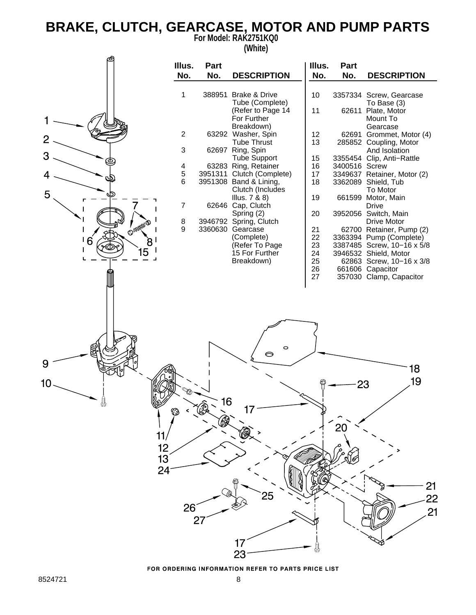### **BRAKE, CLUTCH, GEARCASE, MOTOR AND PUMP PARTS**

**For Model: RAK2751KQ0 (White)**

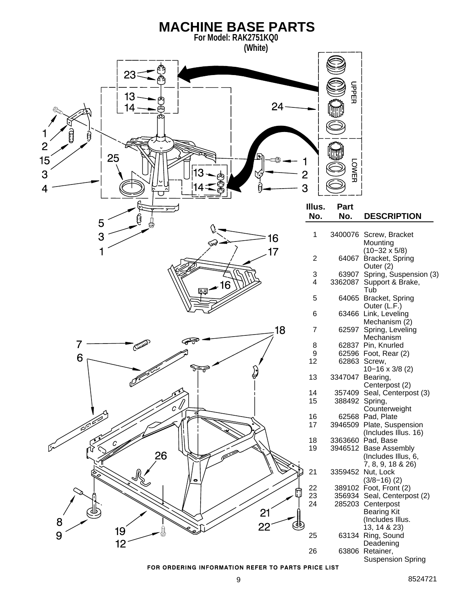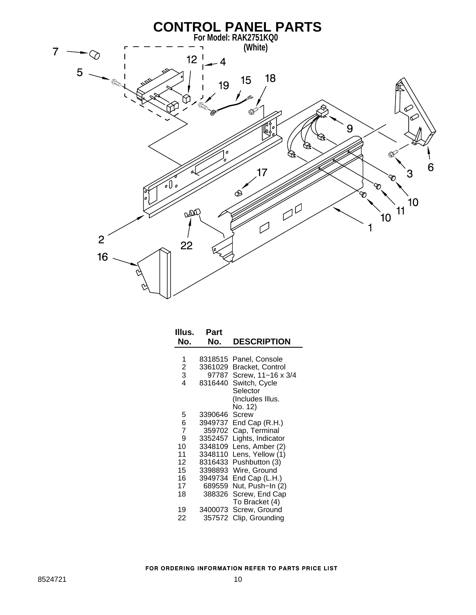

| Illus.<br>No.  | Part<br>No. | <b>DESCRIPTION</b> |
|----------------|-------------|--------------------|
|                |             |                    |
| 1              | 8318515     | Panel, Console     |
| $\overline{c}$ | 3361029     | Bracket, Control   |
| 3              | 97787       | Screw, 11-16 x 3/4 |
| 4              | 8316440     | Switch, Cycle      |
|                |             | Selector           |
|                |             | (Includes Illus.   |
|                |             | No. 12)            |
| 5              | 3390646     | Screw              |
| 6              | 3949737     | End Cap (R.H.)     |
| 7              | 359702      | Cap, Terminal      |
| 9              | 3352457     | Lights, Indicator  |
| 10             | 3348109     | Lens, Amber (2)    |
| 11             | 3348110     | Lens, Yellow (1)   |
| 12             | 8316433     | Pushbutton (3)     |
| 15             | 3398893     | Wire, Ground       |
| 16             | 3949734     | End Cap (L.H.)     |
| 17             | 689559      | Nut, Push–In (2)   |
| 18             | 388326      | Screw, End Cap     |
|                |             | To Bracket (4)     |
| 19             | 3400073     | Screw, Ground      |
| 22             | 357572      | Clip, Grounding    |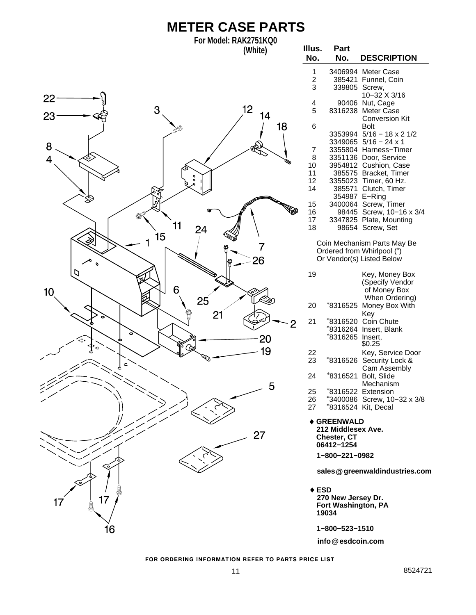## **METER CASE PARTS**

**For Model: RAK2751KQ0 (White)**



| Illus.<br>No.                                               | Part<br>No.                                                                                                                          | <b>DESCRIPTION</b>                                                                                                                                                                                                                                              |
|-------------------------------------------------------------|--------------------------------------------------------------------------------------------------------------------------------------|-----------------------------------------------------------------------------------------------------------------------------------------------------------------------------------------------------------------------------------------------------------------|
| 1<br>$\overline{c}$<br>3                                    | 3406994<br>385421<br>339805                                                                                                          | Meter Case<br>Funnel, Coin<br>Screw,                                                                                                                                                                                                                            |
| 4<br>5                                                      | 90406<br>8316238                                                                                                                     | 10-32 X 3/16<br>Nut, Cage<br>Meter Case<br><b>Conversion Kit</b>                                                                                                                                                                                                |
| 6<br>7<br>8<br>10<br>11<br>12<br>14<br>15<br>16<br>17<br>18 | 3353994<br>3349065<br>3355804<br>3351136<br>3954812<br>385575<br>3355023<br>385571<br>354987<br>3400064<br>98445<br>3347825<br>98654 | <b>Bolt</b><br>$5/16 - 18 \times 2 \frac{1}{2}$<br>$5/16 - 24 \times 1$<br>Harness-Timer<br>Door, Service<br>Cushion, Case<br>Bracket, Timer<br>Timer, 60 Hz.<br>Clutch, Timer<br>E-Ring<br>Screw, Timer<br>Screw, 10-16 x 3/4<br>Plate, Mounting<br>Screw, Set |
|                                                             |                                                                                                                                      | Coin Mechanism Parts May Be<br>Ordered from Whirlpool (*)<br>Or Vendor(s) Listed Below                                                                                                                                                                          |
| 19                                                          |                                                                                                                                      | Key, Money Box<br>(Specify Vendor<br>of Money Box<br>When Ordering)                                                                                                                                                                                             |
| 20                                                          | *8316525                                                                                                                             | Money Box With<br>Key                                                                                                                                                                                                                                           |
| 21                                                          | *8316520<br>*8316264<br>*8316265                                                                                                     | Coin Chute<br>Insert, Blank<br>Insert,<br>\$0.25                                                                                                                                                                                                                |
| 22<br>23                                                    | *8316526                                                                                                                             | Key, Service Door<br>Security Lock &<br>Cam Assembly                                                                                                                                                                                                            |
| 24                                                          | *8316521                                                                                                                             | Bolt, Slide                                                                                                                                                                                                                                                     |
| 25<br>26<br>27                                              |                                                                                                                                      | Mechanism<br>*8316522 Extension<br>*3400086 Screw, 10-32 x 3/8<br>*8316524 Kit, Decal                                                                                                                                                                           |
|                                                             | <b>◆ GREENWALD</b><br>212 Middlesex Ave.<br>Chester, CT<br>06412-1254<br>1-800-221-0982                                              |                                                                                                                                                                                                                                                                 |

**sales greenwaldindustries.com @**

**ESD 270 New Jersey Dr. Fort Washington, PA 19034**

**1−800−523−1510**

**info esdcoin.com @**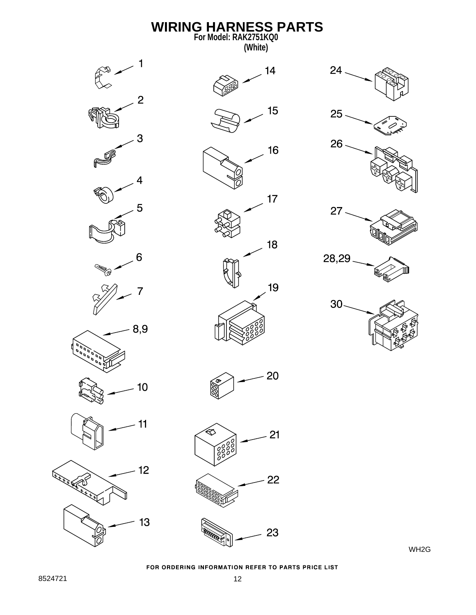

WH2G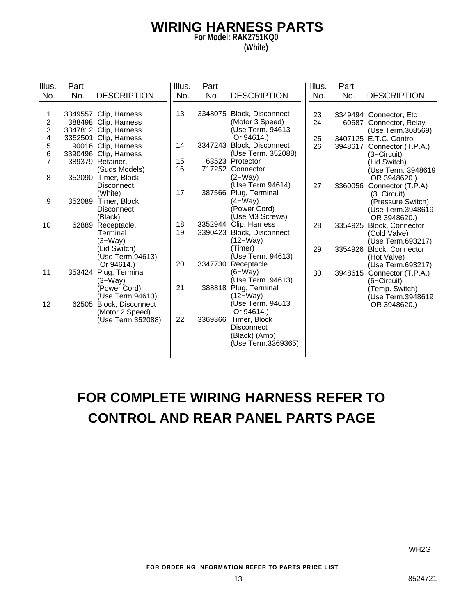#### **WIRING HARNESS PARTS For Model: RAK2751KQ0 (White)**

| Illus.         | Part   |                         | Illus. | Part    |                           | Illus. | Part    |                            |
|----------------|--------|-------------------------|--------|---------|---------------------------|--------|---------|----------------------------|
| No.            | No.    | <b>DESCRIPTION</b>      | No.    | No.     | <b>DESCRIPTION</b>        | No.    | No.     | <b>DESCRIPTION</b>         |
|                |        |                         |        |         |                           |        |         |                            |
| 1              |        | 3349557 Clip, Harness   | 13     | 3348075 | <b>Block, Disconnect</b>  | 23     |         | 3349494 Connector, Etc     |
| 2              |        | 388498 Clip, Harness    |        |         | (Motor 3 Speed)           | 24     |         | 60687 Connector, Relay     |
| 3              |        | 3347812 Clip, Harness   |        |         | (Use Term. 94613          |        |         | (Use Term.308569)          |
| 4              |        | 3352501 Clip, Harness   |        |         | Or 94614.)                | 25     |         | 3407125 E.T.C. Control     |
| 5              |        | 90016 Clip, Harness     | 14     | 3347243 | Block, Disconnect         | 26     |         | 3948617 Connector (T.P.A.) |
| 6              |        | 3390496 Clip, Harness   |        |         | (Use Term. 352088)        |        |         | (3-Circuit)                |
| $\overline{7}$ |        | 389379 Retainer,        | 15     |         | 63523 Protector           |        |         | (Lid Switch)               |
|                |        | (Suds Models)           | 16     |         | 717252 Connector          |        |         | (Use Term. 3948619         |
| 8              | 352090 | Timer, Block            |        |         | $(2-Wav)$                 |        |         | OR 3948620.)               |
|                |        | <b>Disconnect</b>       |        |         | (Use Term.94614)          | 27     | 3360056 | Connector (T.P.A)          |
|                |        | (White)                 | 17     | 387566  | Plug, Terminal            |        |         | (3–Circuit)                |
| 9              | 352089 | Timer, Block            |        |         | $(4-Way)$                 |        |         | (Pressure Switch)          |
|                |        | <b>Disconnect</b>       |        |         | (Power Cord)              |        |         | (Use Term.3948619          |
|                |        | (Black)                 |        |         | (Use M3 Screws)           |        |         | OR 3948620.)               |
| 10             |        | 62889 Receptacle,       | 18     |         | 3352944 Clip, Harness     | 28     | 3354925 | Block, Connector           |
|                |        | Terminal                | 19     |         | 3390423 Block, Disconnect |        |         | (Cold Valve)               |
|                |        | $(3-Way)$               |        |         | (12–Way)                  |        |         | (Use Term.693217)          |
|                |        | (Lid Switch)            |        |         | (Timer)                   | 29     | 3354926 | Block, Connector           |
|                |        | (Use Term.94613)        |        |         | (Use Term. 94613)         |        |         | (Hot Valve)                |
|                |        | Or 94614.)              | 20     | 3347730 | Receptacle                |        |         | (Use Term.693217)          |
| 11             |        | 353424 Plug, Terminal   |        |         | $(6-Way)$                 | 30     | 3948615 | Connector (T.P.A.)         |
|                |        | $(3-Way)$               |        |         | (Use Term. 94613)         |        |         | (6-Circuit)                |
|                |        | (Power Cord)            | 21     | 388818  | Plug, Terminal            |        |         | (Temp. Switch)             |
|                |        | (Use Term.94613)        |        |         | (12–Way)                  |        |         | (Use Term.3948619          |
| 12             |        | 62505 Block, Disconnect |        |         | (Use Term. 94613          |        |         | OR 3948620.)               |
|                |        | (Motor 2 Speed)         |        |         | Or 94614.)                |        |         |                            |
|                |        | (Use Term.352088)       | 22     | 3369366 | Timer, Block              |        |         |                            |
|                |        |                         |        |         | <b>Disconnect</b>         |        |         |                            |
|                |        |                         |        |         | (Black) (Amp)             |        |         |                            |
|                |        |                         |        |         | (Use Term.3369365)        |        |         |                            |
|                |        |                         |        |         |                           |        |         |                            |

## **FOR COMPLETE WIRING HARNESS REFER TO CONTROL AND REAR PANEL PARTS PAGE**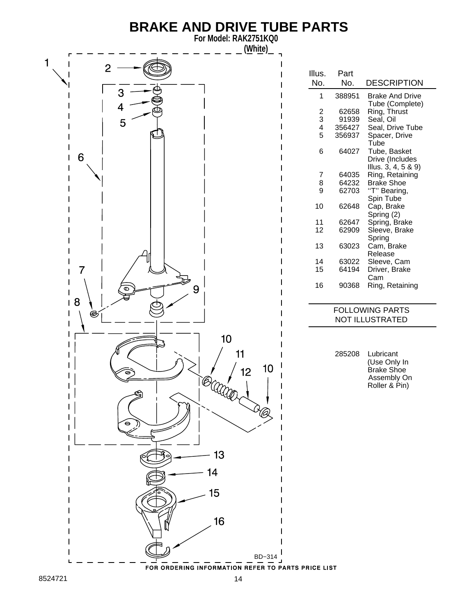### **BRAKE AND DRIVE TUBE PARTS**

**For Model: RAK2751KQ0 (White)**

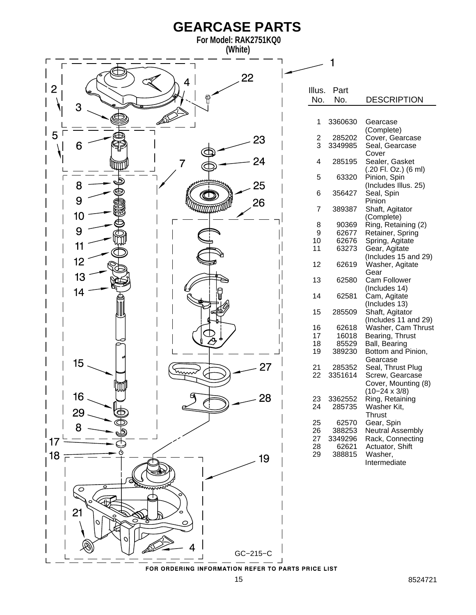